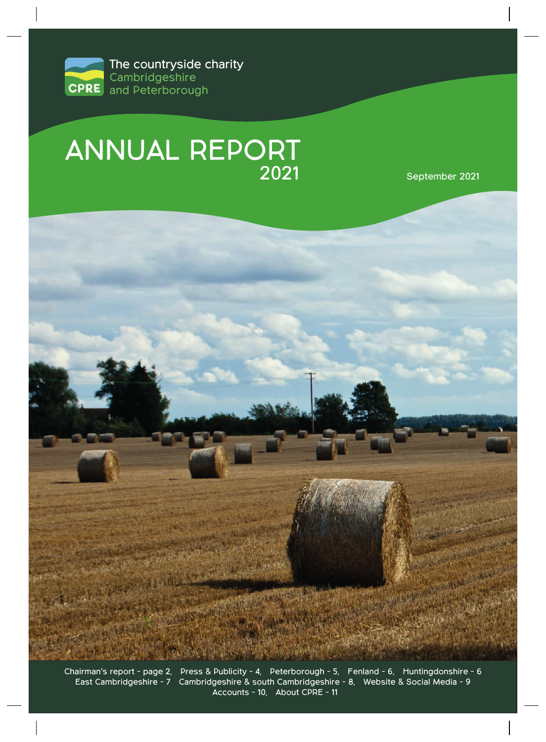

# ANNUAL REPORT

2021 September 2021



Chairman's report - page 2, Press & Publicity - 4, Peterborough - 5, Fenland - 6, Huntingdonshire - 6 East Cambridgeshire - 7 Cambridgeshire & south Cambridgeshire - 8, Website & Social Media - 9 Accounts - 10, About CPRE - 11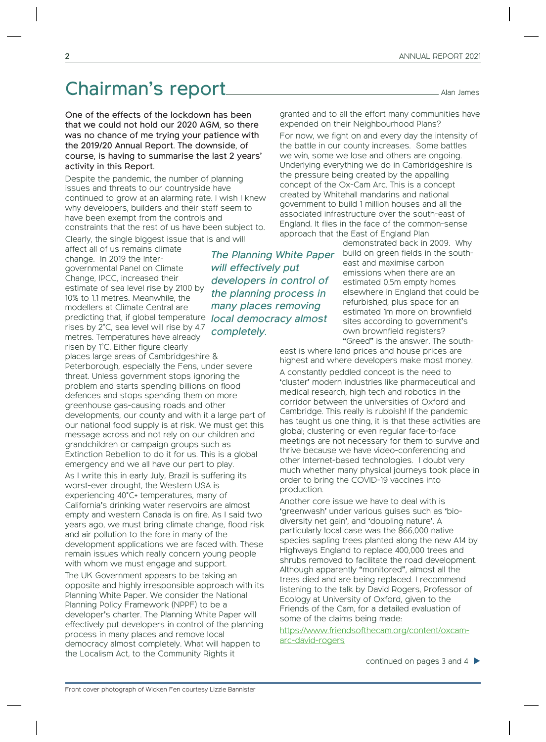### Chairman's report<br>
Chairman's report

One of the effects of the lockdown has been that we could not hold our 2020 AGM, so there was no chance of me trying your patience with the 2019/20 Annual Report. The downside, of course, is having to summarise the last 2 years' activity in this Report.

Despite the pandemic, the number of planning issues and threats to our countryside have continued to grow at an alarming rate. I wish I knew why developers, builders and their staff seem to have been exempt from the controls and constraints that the rest of us have been subject to. Clearly, the single biggest issue that is and will

affect all of us remains climate change. In 2019 the Intergovernmental Panel on Climate Change, IPCC, increased their estimate of sea level rise by 2100 by 10% to 1.1 metres. Meanwhile, the modellers at Climate Central are predicting that, if global temperature rises by 2°C, sea level will rise by 4.7 metres. Temperatures have already risen by 1°C. Either figure clearly

places large areas of Cambridgeshire & Peterborough, especially the Fens, under severe threat. Unless government stops ignoring the problem and starts spending billions on flood defences and stops spending them on more greenhouse gas-causing roads and other developments, our county and with it a large part of our national food supply is at risk. We must get this message across and not rely on our children and grandchildren or campaign groups such as Extinction Rebellion to do it for us. This is a global emergency and we all have our part to play. As I write this in early July, Brazil is suffering its worst-ever drought, the Western USA is experiencing 40°C+ temperatures, many of California's drinking water reservoirs are almost empty and western Canada is on fire. As I said two years ago, we must bring climate change, flood risk and air pollution to the fore in many of the development applications we are faced with. These remain issues which really concern young people with whom we must engage and support.

The UK Government appears to be taking an opposite and highly irresponsible approach with its Planning White Paper. We consider the National Planning Policy Framework (NPPF) to be a developer's charter. The Planning White Paper will effectively put developers in control of the planning process in many places and remove local democracy almost completely. What will happen to the Localism Act, to the Community Rights it

The Planning White Paper will effectively put developers in control of the planning process in many places removing local democracy almost completely.

granted and to all the effort many communities have expended on their Neighbourhood Plans?

For now, we fight on and every day the intensity of the battle in our county increases. Some battles we win, some we lose and others are ongoing. Underlying everything we do in Cambridgeshire is the pressure being created by the appalling concept of the Ox-Cam Arc. This is a concept created by Whitehall mandarins and national government to build 1 million houses and all the associated infrastructure over the south-east of England. It flies in the face of the common-sense approach that the East of England Plan

demonstrated back in 2009. Why build on green fields in the southeast and maximise carbon emissions when there are an estimated 0.5m empty homes elsewhere in England that could be refurbished, plus space for an estimated 1m more on brownfield sites according to government's own brownfield registers? "Greed" is the answer. The south-

east is where land prices and house prices are highest and where developers make most money.

A constantly peddled concept is the need to 'cluster' modern industries like pharmaceutical and medical research, high tech and robotics in the corridor between the universities of Oxford and Cambridge. This really is rubbish! If the pandemic has taught us one thing, it is that these activities are global; clustering or even regular face-to-face meetings are not necessary for them to survive and thrive because we have video-conferencing and other Internet-based technologies. I doubt very much whether many physical journeys took place in order to bring the COVID-19 vaccines into production.

Another core issue we have to deal with is 'greenwash' under various guises such as 'biodiversity net gain', and 'doubling nature'. A particularly local case was the 866,000 native species sapling trees planted along the new A14 by Highways England to replace 400,000 trees and shrubs removed to facilitate the road development. Although apparently "monitored", almost all the trees died and are being replaced. I recommend listening to the talk by David Rogers, Professor of Ecology at University of Oxford, given to the Friends of the Cam, for a detailed evaluation of some of the claims being made:

https://www.friendsofthecam.org/content/oxcamarc-david-rogers

continued on pages 3 and 4 �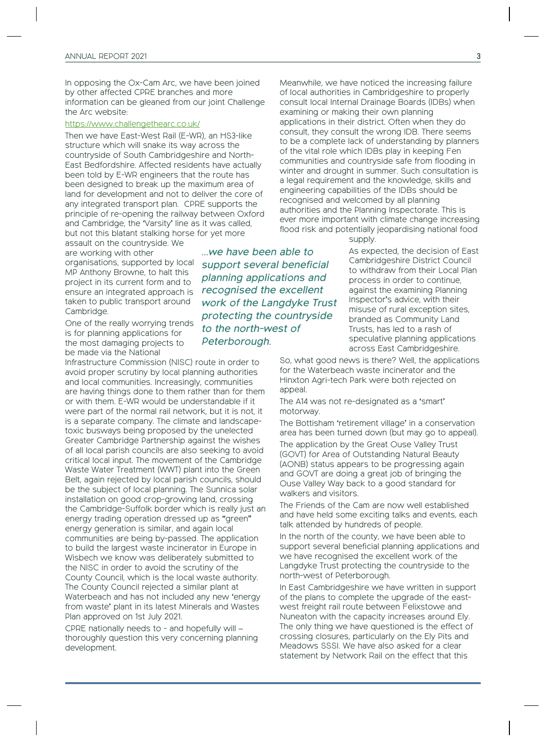In opposing the Ox-Cam Arc, we have been joined by other affected CPRE branches and more information can be gleaned from our joint Challenge the Arc website:

#### https://www.challengethearc.co.uk/

Then we have East-West Rail (E-WR), an HS3-like structure which will snake its way across the countryside of South Cambridgeshire and North-East Bedfordshire. Affected residents have actually been told by E-WR engineers that the route has been designed to break up the maximum area of land for development and not to deliver the core of any integrated transport plan. CPRE supports the principle of re-opening the railway between Oxford and Cambridge, the 'Varsity' line as it was called, but not this blatant stalking horse for yet more

assault on the countryside. We are working with other organisations, supported by local MP Anthony Browne, to halt this project in its current form and to ensure an integrated approach is taken to public transport around Cambridge.

One of the really worrying trends is for planning applications for the most damaging projects to be made via the National

Infrastructure Commission (NISC) route in order to avoid proper scrutiny by local planning authorities and local communities. Increasingly, communities are having things done to them rather than for them or with them. E-WR would be understandable if it were part of the normal rail network, but it is not, it is a separate company. The climate and landscapetoxic busways being proposed by the unelected Greater Cambridge Partnership against the wishes of all local parish councils are also seeking to avoid critical local input. The movement of the Cambridge Waste Water Treatment (WWT) plant into the Green Belt, again rejected by local parish councils, should be the subject of local planning. The Sunnica solar installation on good crop-growing land, crossing the Cambridge-Suffolk border which is really just an energy trading operation dressed up as "green" energy generation is similar, and again local communities are being by-passed. The application to build the largest waste incinerator in Europe in Wisbech we know was deliberately submitted to the NISC in order to avoid the scrutiny of the County Council, which is the local waste authority. The County Council rejected a similar plant at Waterbeach and has not included any new 'energy from waste' plant in its latest Minerals and Wastes Plan approved on 1st July 2021.

CPRE nationally needs to - and hopefully will – thoroughly question this very concerning planning development.

…we have been able to support several beneficial planning applications and recognised the excellent work of the Langdyke Trust protecting the countryside to the north-west of Peterborough.

Meanwhile, we have noticed the increasing failure of local authorities in Cambridgeshire to properly consult local Internal Drainage Boards (IDBs) when examining or making their own planning applications in their district. Often when they do consult, they consult the wrong IDB. There seems to be a complete lack of understanding by planners of the vital role which IDBs play in keeping Fen communities and countryside safe from flooding in winter and drought in summer. Such consultation is a legal requirement and the knowledge, skills and engineering capabilities of the IDBs should be recognised and welcomed by all planning authorities and the Planning Inspectorate. This is ever more important with climate change increasing flood risk and potentially jeopardising national food

supply.

As expected, the decision of East Cambridgeshire District Council to withdraw from their Local Plan process in order to continue, against the examining Planning Inspector's advice, with their misuse of rural exception sites, branded as Community Land Trusts, has led to a rash of speculative planning applications across East Cambridgeshire.

So, what good news is there? Well, the applications for the Waterbeach waste incinerator and the Hinxton Agri-tech Park were both rejected on appeal.

The A14 was not re-designated as a 'smart' motorway.

The Bottisham 'retirement village' in a conservation area has been turned down (but may go to appeal). The application by the Great Ouse Valley Trust (GOVT) for Area of Outstanding Natural Beauty (AONB) status appears to be progressing again and GOVT are doing a great job of bringing the Ouse Valley Way back to a good standard for walkers and visitors.

The Friends of the Cam are now well established and have held some exciting talks and events, each talk attended by hundreds of people.

In the north of the county, we have been able to support several beneficial planning applications and we have recognised the excellent work of the Langdyke Trust protecting the countryside to the north-west of Peterborough.

In East Cambridgeshire we have written in support of the plans to complete the upgrade of the eastwest freight rail route between Felixstowe and Nuneaton with the capacity increases around Ely. The only thing we have questioned is the effect of crossing closures, particularly on the Ely Pits and Meadows SSSI. We have also asked for a clear statement by Network Rail on the effect that this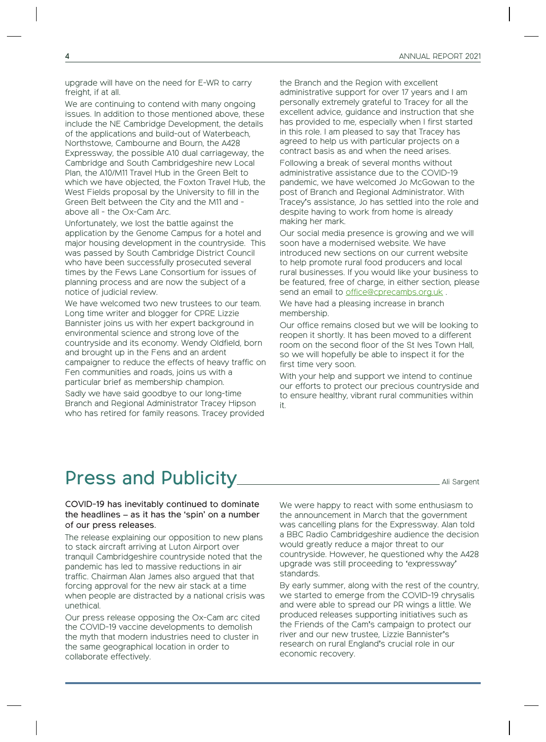upgrade will have on the need for E-WR to carry freight, if at all.

We are continuing to contend with many ongoing issues. In addition to those mentioned above, these include the NE Cambridge Development, the details of the applications and build-out of Waterbeach, Northstowe, Cambourne and Bourn, the A428 Expressway, the possible A10 dual carriageway, the Cambridge and South Cambridgeshire new Local Plan, the A10/M11 Travel Hub in the Green Belt to which we have objected, the Foxton Travel Hub, the West Fields proposal by the University to fill in the Green Belt between the City and the M11 and above all - the Ox-Cam Arc.

Unfortunately, we lost the battle against the application by the Genome Campus for a hotel and major housing development in the countryside. This was passed by South Cambridge District Council who have been successfully prosecuted several times by the Fews Lane Consortium for issues of planning process and are now the subject of a notice of judicial review.

We have welcomed two new trustees to our team. Long time writer and blogger for CPRE Lizzie Bannister joins us with her expert background in environmental science and strong love of the countryside and its economy. Wendy Oldfield, born and brought up in the Fens and an ardent campaigner to reduce the effects of heavy traffic on Fen communities and roads, joins us with a particular brief as membership champion.

Sadly we have said goodbye to our long-time Branch and Regional Administrator Tracey Hipson who has retired for family reasons. Tracey provided the Branch and the Region with excellent administrative support for over 17 years and I am personally extremely grateful to Tracey for all the excellent advice, guidance and instruction that she has provided to me, especially when I first started in this role. I am pleased to say that Tracey has agreed to help us with particular projects on a contract basis as and when the need arises. Following a break of several months without administrative assistance due to the COVID-19 pandemic, we have welcomed Jo McGowan to the post of Branch and Regional Administrator. With Tracey's assistance, Jo has settled into the role and despite having to work from home is already making her mark.

Our social media presence is growing and we will soon have a modernised website. We have introduced new sections on our current website to help promote rural food producers and local rural businesses. If you would like your business to be featured, free of charge, in either section, please send an email to office@cprecambs.org.uk.

We have had a pleasing increase in branch membership.

Our office remains closed but we will be looking to reopen it shortly. It has been moved to a different room on the second floor of the St Ives Town Hall, so we will hopefully be able to inspect it for the first time very soon.

With your help and support we intend to continue our efforts to protect our precious countryside and to ensure healthy, vibrant rural communities within it.

### Press and Publicity Manual Ali Sargent

COVID-19 has inevitably continued to dominate the headlines – as it has the 'spin' on a number of our press releases.

The release explaining our opposition to new plans to stack aircraft arriving at Luton Airport over tranquil Cambridgeshire countryside noted that the pandemic has led to massive reductions in air traffic. Chairman Alan James also argued that that forcing approval for the new air stack at a time when people are distracted by a national crisis was unethical.

Our press release opposing the Ox-Cam arc cited the COVID-19 vaccine developments to demolish the myth that modern industries need to cluster in the same geographical location in order to collaborate effectively.

We were happy to react with some enthusiasm to the announcement in March that the government was cancelling plans for the Expressway. Alan told a BBC Radio Cambridgeshire audience the decision would greatly reduce a major threat to our countryside. However, he questioned why the A428 upgrade was still proceeding to 'expressway' standards.

By early summer, along with the rest of the country, we started to emerge from the COVID-19 chrysalis and were able to spread our PR wings a little. We produced releases supporting initiatives such as the Friends of the Cam's campaign to protect our river and our new trustee, Lizzie Bannister's research on rural England's crucial role in our economic recovery.

4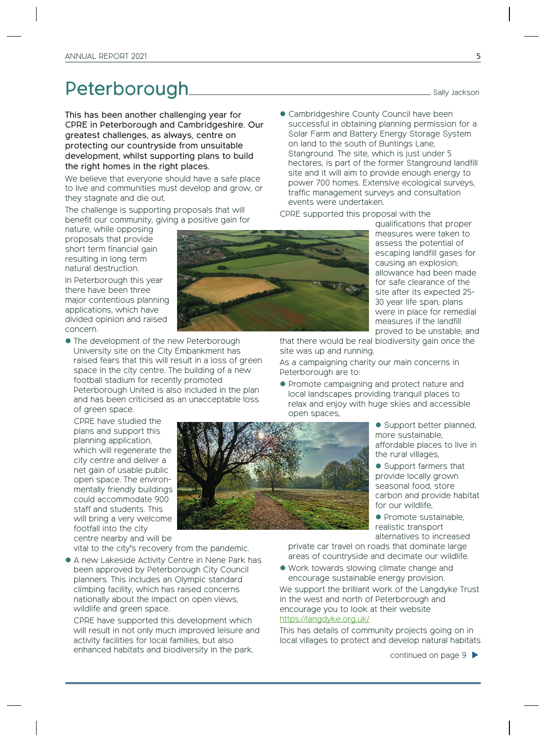## Peterborough Sally Jackson

This has been another challenging year for CPRE in Peterborough and Cambridgeshire. Our greatest challenges, as always, centre on protecting our countryside from unsuitable development, whilst supporting plans to build the right homes in the right places.

We believe that everyone should have a safe place to live and communities must develop and grow, or they stagnate and die out.

The challenge is supporting proposals that will benefit our community, giving a positive gain for

nature, while opposing proposals that provide short term financial gain resulting in long term natural destruction.

In Peterborough this year there have been three major contentious planning applications, which have divided opinion and raised concern.

 $\bullet$  The development of the new Peterborough University site on the City Embankment has raised fears that this will result in a loss of green space in the city centre. The building of a new football stadium for recently promoted Peterborough United is also included in the plan and has been criticised as an unacceptable loss of green space.

CPRE have studied the plans and support this planning application, which will regenerate the city centre and deliver a net gain of usable public open space. The environmentally friendly buildings could accommodate 900 staff and students. This will bring a very welcome footfall into the city centre nearby and will be

vital to the city's recovery from the pandemic.

� A new Lakeside Activity Centre in Nene Park has been approved by Peterborough City Council planners. This includes an Olympic standard climbing facility, which has raised concerns nationally about the impact on open views, wildlife and green space.

CPRE have supported this development which will result in not only much improved leisure and activity facilities for local families, but also enhanced habitats and biodiversity in the park.

� Cambridgeshire County Council have been successful in obtaining planning permission for a Solar Farm and Battery Energy Storage System on land to the south of Buntings Lane, Stanground. The site, which is just under 5 hectares, is part of the former Stanground landfill site and it will aim to provide enough energy to power 700 homes. Extensive ecological surveys, traffic management surveys and consultation events were undertaken.

CPRE supported this proposal with the

qualifications that proper measures were taken to assess the potential of escaping landfill gases for causing an explosion; allowance had been made for safe clearance of the site after its expected 25- 30 year life span; plans were in place for remedial measures if the landfill proved to be unstable; and

that there would be real biodiversity gain once the site was up and running.

As a campaigning charity our main concerns in Peterborough are to:

� Promote campaigning and protect nature and local landscapes providing tranquil places to relax and enjoy with huge skies and accessible open spaces,

> ● Support better planned, more sustainable, affordable places to live in the rural villages,

� Support farmers that provide locally grown seasonal food, store carbon and provide habitat for our wildlife,

� Promote sustainable, realistic transport alternatives to increased

private car travel on roads that dominate large areas of countryside and decimate our wildlife.

� Work towards slowing climate change and encourage sustainable energy provision.

We support the brilliant work of the Langdyke Trust in the west and north of Peterborough and encourage you to look at their website https://langdyke.org.uk/

This has details of community projects going on in local villages to protect and develop natural habitats

continued on page 9 �



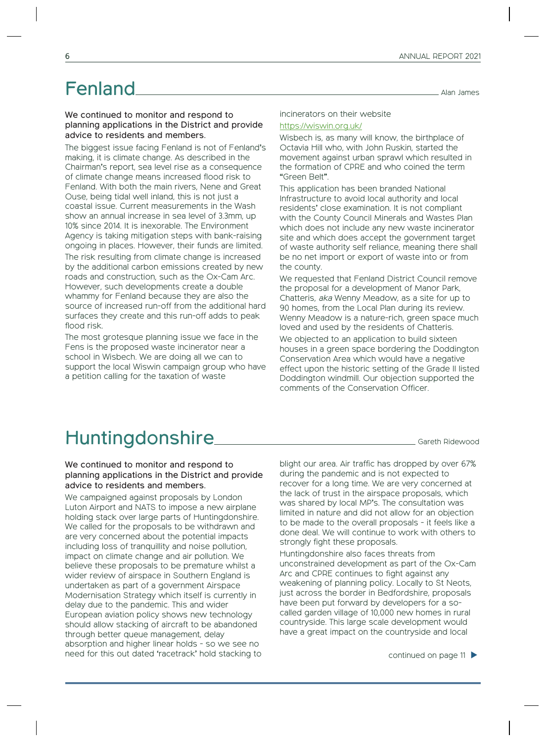# Fenland Alan James

#### We continued to monitor and respond to planning applications in the District and provide advice to residents and members.

The biggest issue facing Fenland is not of Fenland's making, it is climate change. As described in the Chairman's report, sea level rise as a consequence of climate change means increased flood risk to Fenland. With both the main rivers, Nene and Great Ouse, being tidal well inland, this is not just a coastal issue. Current measurements in the Wash show an annual increase in sea level of 3.3mm, up 10% since 2014. It is inexorable. The Environment Agency is taking mitigation steps with bank-raising ongoing in places. However, their funds are limited. The risk resulting from climate change is increased by the additional carbon emissions created by new roads and construction, such as the Ox-Cam Arc. However, such developments create a double whammy for Fenland because they are also the source of increased run-off from the additional hard surfaces they create and this run-off adds to peak flood risk.

The most grotesque planning issue we face in the Fens is the proposed waste incinerator near a school in Wisbech. We are doing all we can to support the local Wiswin campaign group who have a petition calling for the taxation of waste

incinerators on their website https://wiswin.org.uk/

Wisbech is, as many will know, the birthplace of Octavia Hill who, with John Ruskin, started the movement against urban sprawl which resulted in the formation of CPRE and who coined the term "Green Belt".

This application has been branded National Infrastructure to avoid local authority and local residents' close examination. It is not compliant with the County Council Minerals and Wastes Plan which does not include any new waste incinerator site and which does accept the government target of waste authority self reliance, meaning there shall be no net import or export of waste into or from the county.

We requested that Fenland District Council remove the proposal for a development of Manor Park, Chatteris, aka Wenny Meadow, as a site for up to 90 homes, from the Local Plan during its review. Wenny Meadow is a nature-rich, green space much loved and used by the residents of Chatteris.

We objected to an application to build sixteen houses in a green space bordering the Doddington Conservation Area which would have a negative effect upon the historic setting of the Grade II listed Doddington windmill. Our objection supported the comments of the Conservation Officer.

# Huntingdonshire **Gareth Ridewood**

#### We continued to monitor and respond to planning applications in the District and provide advice to residents and members.

We campaigned against proposals by London Luton Airport and NATS to impose a new airplane holding stack over large parts of Huntingdonshire. We called for the proposals to be withdrawn and are very concerned about the potential impacts including loss of tranquillity and noise pollution, impact on climate change and air pollution. We believe these proposals to be premature whilst a wider review of airspace in Southern England is undertaken as part of a government Airspace Modernisation Strategy which itself is currently in delay due to the pandemic. This and wider European aviation policy shows new technology should allow stacking of aircraft to be abandoned through better queue management, delay absorption and higher linear holds - so we see no need for this out dated 'racetrack' hold stacking to blight our area. Air traffic has dropped by over 67% during the pandemic and is not expected to recover for a long time. We are very concerned at the lack of trust in the airspace proposals, which was shared by local MP's. The consultation was limited in nature and did not allow for an objection to be made to the overall proposals - it feels like a done deal. We will continue to work with others to strongly fight these proposals.

Huntingdonshire also faces threats from unconstrained development as part of the Ox-Cam Arc and CPRE continues to fight against any weakening of planning policy. Locally to St Neots, just across the border in Bedfordshire, proposals have been put forward by developers for a socalled garden village of 10,000 new homes in rural countryside. This large scale development would have a great impact on the countryside and local

continued on page 11 �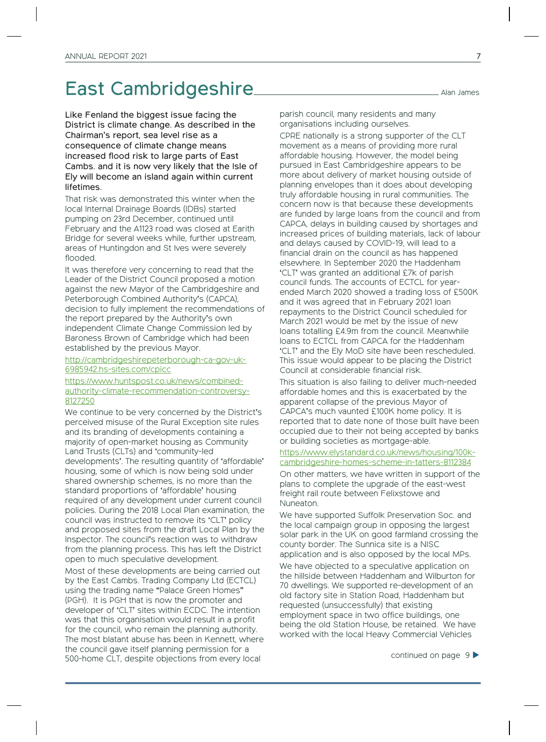### East Cambridgeshire Alan James

Like Fenland the biggest issue facing the District is climate change. As described in the Chairman's report, sea level rise as a consequence of climate change means increased flood risk to large parts of East Cambs. and it is now very likely that the Isle of Ely will become an island again within current lifetimes.

That risk was demonstrated this winter when the local Internal Drainage Boards (IDBs) started pumping on 23rd December, continued until February and the A1123 road was closed at Earith Bridge for several weeks while, further upstream, areas of Huntingdon and St Ives were severely flooded.

It was therefore very concerning to read that the Leader of the District Council proposed a motion against the new Mayor of the Cambridgeshire and Peterborough Combined Authority's (CAPCA), decision to fully implement the recommendations of the report prepared by the Authority's own independent Climate Change Commission led by Baroness Brown of Cambridge which had been established by the previous Mayor.

http://cambridgeshirepeterborough-ca-gov-uk-6985942.hs-sites.com/cpicc

https://www.huntspost.co.uk/news/combinedauthority-climate-recommendation-controversy-8127250

We continue to be very concerned by the District's perceived misuse of the Rural Exception site rules and its branding of developments containing a majority of open-market housing as Community Land Trusts (CLTs) and 'community-led developments'. The resulting quantity of 'affordable' housing, some of which is now being sold under shared ownership schemes, is no more than the standard proportions of 'affordable' housing required of any development under current council policies. During the 2018 Local Plan examination, the council was instructed to remove its 'CLT' policy and proposed sites from the draft Local Plan by the Inspector. The council's reaction was to withdraw from the planning process. This has left the District open to much speculative development.

Most of these developments are being carried out by the East Cambs. Trading Company Ltd (ECTCL) using the trading name "Palace Green Homes" (PGH). It is PGH that is now the promoter and developer of 'CLT' sites within ECDC. The intention was that this organisation would result in a profit for the council, who remain the planning authority. The most blatant abuse has been in Kennett, where the council gave itself planning permission for a 500-home CLT, despite objections from every local

parish council, many residents and many organisations including ourselves.

CPRE nationally is a strong supporter of the CLT movement as a means of providing more rural affordable housing. However, the model being pursued in East Cambridgeshire appears to be more about delivery of market housing outside of planning envelopes than it does about developing truly affordable housing in rural communities. The concern now is that because these developments are funded by large loans from the council and from CAPCA, delays in building caused by shortages and increased prices of building materials, lack of labour and delays caused by COVID-19, will lead to a financial drain on the council as has happened elsewhere. In September 2020 the Haddenham 'CLT' was granted an additional £7k of parish council funds. The accounts of ECTCL for yearended March 2020 showed a trading loss of £500K and it was agreed that in February 2021 loan repayments to the District Council scheduled for March 2021 would be met by the issue of new loans totalling £4.9m from the council. Meanwhile loans to ECTCL from CAPCA for the Haddenham 'CLT' and the Ely MoD site have been rescheduled. This issue would appear to be placing the District Council at considerable financial risk.

This situation is also failing to deliver much-needed affordable homes and this is exacerbated by the apparent collapse of the previous Mayor of CAPCA's much vaunted £100K home policy. It is reported that to date none of those built have been occupied due to their not being accepted by banks or building societies as mortgage-able.

#### https://www.elystandard.co.uk/news/housing/100kcambridgeshire-homes-scheme-in-tatters-8112384

On other matters, we have written in support of the plans to complete the upgrade of the east-west freight rail route between Felixstowe and Nuneaton.

We have supported Suffolk Preservation Soc. and the local campaign group in opposing the largest solar park in the UK on good farmland crossing the county border. The Sunnica site is a NISC application and is also opposed by the local MPs.

We have objected to a speculative application on the hillside between Haddenham and Wilburton for 70 dwellings. We supported re-development of an old factory site in Station Road, Haddenham but requested (unsuccessfully) that existing employment space in two office buildings, one being the old Station House, be retained. We have worked with the local Heavy Commercial Vehicles

continued on page 9 �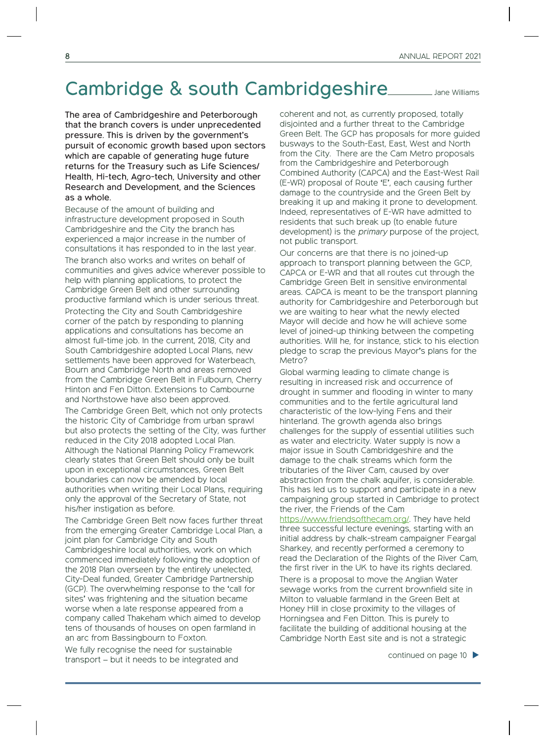### Cambridge & south Cambridgeshire Jane Williams

The area of Cambridgeshire and Peterborough that the branch covers is under unprecedented pressure. This is driven by the government's pursuit of economic growth based upon sectors which are capable of generating huge future returns for the Treasury such as Life Sciences/ Health, Hi-tech, Agro-tech, University and other Research and Development, and the Sciences as a whole.

Because of the amount of building and infrastructure development proposed in South Cambridgeshire and the City the branch has experienced a major increase in the number of consultations it has responded to in the last year.

The branch also works and writes on behalf of communities and gives advice wherever possible to help with planning applications, to protect the Cambridge Green Belt and other surrounding productive farmland which is under serious threat. Protecting the City and South Cambridgeshire corner of the patch by responding to planning applications and consultations has become an almost full-time job. In the current, 2018, City and South Cambridgeshire adopted Local Plans, new settlements have been approved for Waterbeach, Bourn and Cambridge North and areas removed from the Cambridge Green Belt in Fulbourn, Cherry Hinton and Fen Ditton. Extensions to Cambourne and Northstowe have also been approved.

The Cambridge Green Belt, which not only protects the historic City of Cambridge from urban sprawl but also protects the setting of the City, was further reduced in the City 2018 adopted Local Plan. Although the National Planning Policy Framework clearly states that Green Belt should only be built upon in exceptional circumstances, Green Belt boundaries can now be amended by local authorities when writing their Local Plans, requiring only the approval of the Secretary of State, not his/her instigation as before.

The Cambridge Green Belt now faces further threat from the emerging Greater Cambridge Local Plan, a joint plan for Cambridge City and South Cambridgeshire local authorities, work on which commenced immediately following the adoption of the 2018 Plan overseen by the entirely unelected, City-Deal funded, Greater Cambridge Partnership (GCP). The overwhelming response to the 'call for sites' was frightening and the situation became worse when a late response appeared from a company called Thakeham which aimed to develop tens of thousands of houses on open farmland in an arc from Bassingbourn to Foxton.

We fully recognise the need for sustainable transport – but it needs to be integrated and

coherent and not, as currently proposed, totally disjointed and a further threat to the Cambridge Green Belt. The GCP has proposals for more guided busways to the South-East, East, West and North from the City. There are the Cam Metro proposals from the Cambridgeshire and Peterborough Combined Authority (CAPCA) and the East-West Rail (E-WR) proposal of Route 'E', each causing further damage to the countryside and the Green Belt by breaking it up and making it prone to development. Indeed, representatives of E-WR have admitted to residents that such break up (to enable future development) is the primary purpose of the project, not public transport.

Our concerns are that there is no joined-up approach to transport planning between the GCP, CAPCA or E-WR and that all routes cut through the Cambridge Green Belt in sensitive environmental areas. CAPCA is meant to be the transport planning authority for Cambridgeshire and Peterborough but we are waiting to hear what the newly elected Mayor will decide and how he will achieve some level of joined-up thinking between the competing authorities. Will he, for instance, stick to his election pledge to scrap the previous Mayor's plans for the Metro?

Global warming leading to climate change is resulting in increased risk and occurrence of drought in summer and flooding in winter to many communities and to the fertile agricultural land characteristic of the low-lying Fens and their hinterland. The growth agenda also brings challenges for the supply of essential utilities such as water and electricity. Water supply is now a major issue in South Cambridgeshire and the damage to the chalk streams which form the tributaries of the River Cam, caused by over abstraction from the chalk aquifer, is considerable. This has led us to support and participate in a new campaigning group started in Cambridge to protect the river, the Friends of the Cam

https://www.friendsofthecam.org/. They have held three successful lecture evenings, starting with an initial address by chalk-stream campaigner Feargal Sharkey, and recently performed a ceremony to read the Declaration of the Rights of the River Cam, the first river in the UK to have its rights declared.

There is a proposal to move the Anglian Water sewage works from the current brownfield site in Milton to valuable farmland in the Green Belt at Honey Hill in close proximity to the villages of Horningsea and Fen Ditton. This is purely to facilitate the building of additional housing at the Cambridge North East site and is not a strategic

continued on page 10 �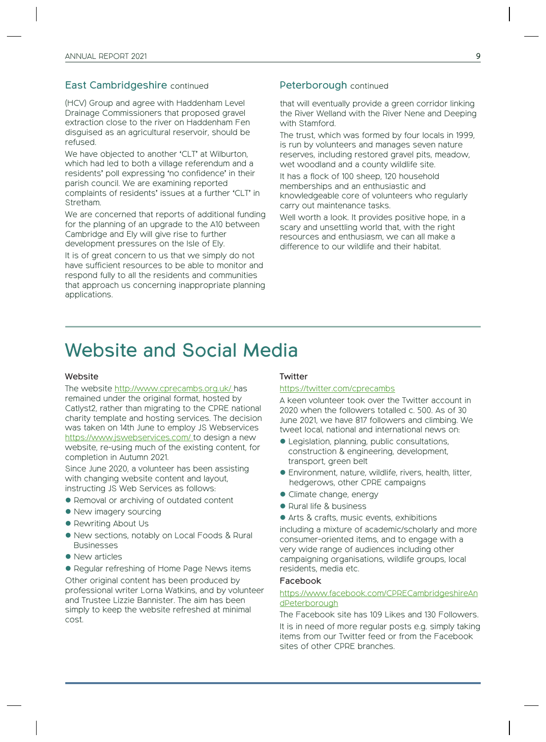#### East Cambridgeshire continued

(HCV) Group and agree with Haddenham Level Drainage Commissioners that proposed gravel extraction close to the river on Haddenham Fen disguised as an agricultural reservoir, should be refused.

We have objected to another 'CLT' at Wilburton, which had led to both a village referendum and a residents' poll expressing 'no confidence' in their parish council. We are examining reported complaints of residents' issues at a further 'CLT' in Stretham.

We are concerned that reports of additional funding for the planning of an upgrade to the A10 between Cambridge and Ely will give rise to further development pressures on the Isle of Ely.

It is of great concern to us that we simply do not have sufficient resources to be able to monitor and respond fully to all the residents and communities that approach us concerning inappropriate planning applications.

#### Peterborough continued

that will eventually provide a green corridor linking the River Welland with the River Nene and Deeping with Stamford.

The trust, which was formed by four locals in 1999, is run by volunteers and manages seven nature reserves, including restored gravel pits, meadow, wet woodland and a county wildlife site.

It has a flock of 100 sheep, 120 household memberships and an enthusiastic and knowledgeable core of volunteers who regularly carry out maintenance tasks.

Well worth a look. It provides positive hope, in a scary and unsettling world that, with the right resources and enthusiasm, we can all make a difference to our wildlife and their habitat.

### Website and Social Media

#### Website

The website http://www.cprecambs.org.uk/ has remained under the original format, hosted by Catlyst2, rather than migrating to the CPRE national charity template and hosting services. The decision was taken on 14th June to employ JS Webservices https://www.jswebservices.com/ to design a new website, re-using much of the existing content, for completion in Autumn 2021.

Since June 2020, a volunteer has been assisting with changing website content and layout, instructing JS Web Services as follows:

- � Removal or archiving of outdated content
- New imagery sourcing
- � Rewriting About Us
- � New sections, notably on Local Foods & Rural Businesses
- New articles
- � Regular refreshing of Home Page News items

Other original content has been produced by professional writer Lorna Watkins, and by volunteer and Trustee Lizzie Bannister. The aim has been simply to keep the website refreshed at minimal cost.

#### **Twitter**

#### https://twitter.com/cprecambs

A keen volunteer took over the Twitter account in 2020 when the followers totalled c. 500. As of 30 June 2021, we have 817 followers and climbing. We tweet local, national and international news on:

- � Legislation, planning, public consultations, construction & engineering, development, transport, green belt
- � Environment, nature, wildlife, rivers, health, litter, hedgerows, other CPRE campaigns
- � Climate change, energy
- Rural life & business
- � Arts & crafts, music events, exhibitions

including a mixture of academic/scholarly and more consumer-oriented items, and to engage with a very wide range of audiences including other campaigning organisations, wildlife groups, local residents, media etc.

#### Facebook

#### https://www.facebook.com/CPRECambridgeshireAn dPeterborough

The Facebook site has 109 Likes and 130 Followers. It is in need of more regular posts e.g. simply taking items from our Twitter feed or from the Facebook sites of other CPRE branches.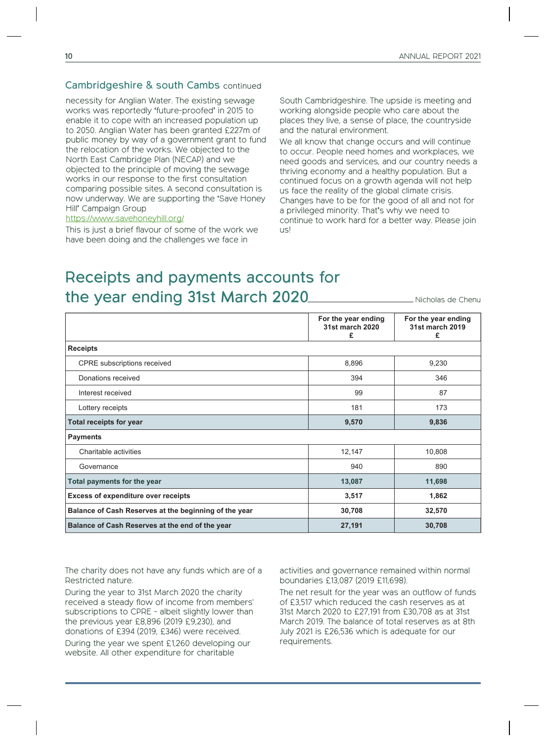#### Cambridgeshire & south Cambs continued

necessity for Anglian Water. The existing sewage works was reportedly 'future-proofed' in 2015 to enable it to cope with an increased population up to 2050. Anglian Water has been granted £227m of public money by way of a government grant to fund the relocation of the works. We objected to the North East Cambridge Plan (NECAP) and we objected to the principle of moving the sewage works in our response to the first consultation comparing possible sites. A second consultation is now underway. We are supporting the 'Save Honey Hill' Campaign Group

#### https://www.savehoneyhill.org/

This is just a brief flavour of some of the work we have been doing and the challenges we face in

South Cambridgeshire. The upside is meeting and working alongside people who care about the places they live, a sense of place, the countryside and the natural environment.

We all know that change occurs and will continue to occur. People need homes and workplaces, we need goods and services, and our country needs a thriving economy and a healthy population. But a continued focus on a growth agenda will not help us face the reality of the global climate crisis. Changes have to be for the good of all and not for a privileged minority. That's why we need to continue to work hard for a better way. Please join us!

### Receipts and payments accounts for the year ending 31st March 2020

Nicholas de Chenu

|                                                       | For the year ending<br>31st march 2020<br>£ | For the year ending<br>31st march 2019<br>£ |
|-------------------------------------------------------|---------------------------------------------|---------------------------------------------|
| <b>Receipts</b>                                       |                                             |                                             |
| <b>CPRE</b> subscriptions received                    | 8,896                                       | 9,230                                       |
| Donations received                                    | 394                                         | 346                                         |
| Interest received                                     | 99                                          | 87                                          |
| Lottery receipts                                      | 181                                         | 173                                         |
| <b>Total receipts for year</b>                        | 9,570                                       | 9,836                                       |
| <b>Payments</b>                                       |                                             |                                             |
| Charitable activities                                 | 12,147                                      | 10,808                                      |
| Governance                                            | 940                                         | 890                                         |
| Total payments for the year                           | 13,087                                      | 11,698                                      |
| <b>Excess of expenditure over receipts</b>            | 3,517                                       | 1,862                                       |
| Balance of Cash Reserves at the beginning of the year | 30,708                                      | 32,570                                      |
| Balance of Cash Reserves at the end of the year       | 27,191                                      | 30,708                                      |

The charity does not have any funds which are of a Restricted nature.

During the year to 31st March 2020 the charity received a steady flow of income from members' subscriptions to CPRE - albeit slightly lower than the previous year £8,896 (2019 £9,230), and donations of £394 (2019, £346) were received.

During the year we spent £1,260 developing our website. All other expenditure for charitable

activities and governance remained within normal boundaries £13,087 (2019 £11,698).

The net result for the year was an outflow of funds of £3,517 which reduced the cash reserves as at 31st March 2020 to £27,191 from £30,708 as at 31st March 2019. The balance of total reserves as at 8th July 2021 is £26,536 which is adequate for our requirements.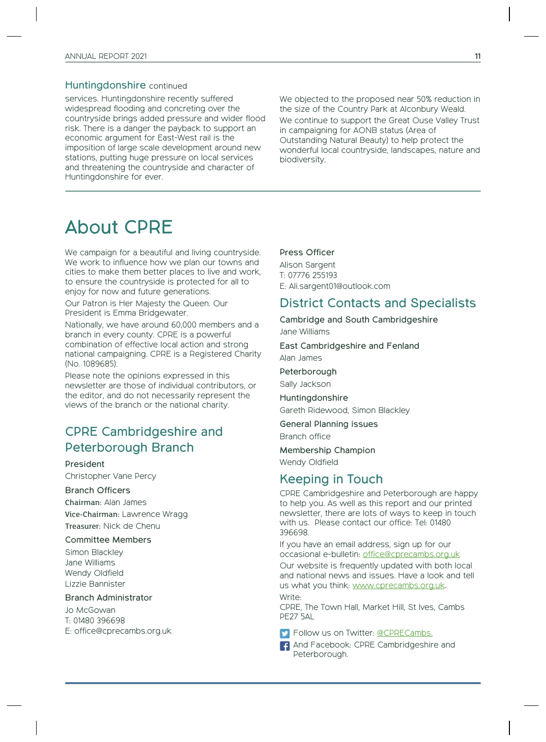#### Huntingdonshire continued

services. Huntingdonshire recently suffered widespread flooding and concreting over the countryside brings added pressure and wider flood risk. There is a danger the payback to support an economic argument for East-West rail is the imposition of large scale development around new stations, putting huge pressure on local services and threatening the countryside and character of Huntingdonshire for ever.

We objected to the proposed near 50% reduction in the size of the Country Park at Alconbury Weald. We continue to support the Great Ouse Valley Trust in campaigning for AONB status (Area of Outstanding Natural Beauty) to help protect the wonderful local countryside, landscapes, nature and biodiversity.

## About CPRE

We campaign for a beautiful and living countryside. We work to influence how we plan our towns and cities to make them better places to live and work, to ensure the countryside is protected for all to enjoy for now and future generations.

Our Patron is Her Majesty the Queen. Our President is Emma Bridgewater.

Nationally, we have around 60,000 members and a branch in every county. CPRE is a powerful combination of effective local action and strong national campaigning. CPRE is a Registered Charity (No. 1089685).

Please note the opinions expressed in this newsletter are those of individual contributors, or the editor, and do not necessarily represent the views of the branch or the national charity.

### CPRE Cambridgeshire and Peterborough Branch

#### President

Christopher Vane Percy

#### Branch Officers

Chairman: Alan James Vice-Chairman: Lawrence Wragg Treasurer: Nick de Chenu

#### Committee Members

Simon Blackley Jane Williams Wendy Oldfield Lizzie Bannister

#### Branch Administrator

Jo McGowan T: 01480 396698 E: office@cprecambs.org.uk

#### Press Officer

Alison Sargent T: 07776 255193 E: Ali.sargent01@outlook.com

### District Contacts and Specialists

Cambridge and South Cambridgeshire Jane Williams

East Cambridgeshire and Fenland

Alan James

Peterborough

Sally Jackson

Huntingdonshire Gareth Ridewood, Simon Blackley

General Planning issues

Branch office

Membership Champion Wendy Oldfield

### Keeping in Touch

CPRE Cambridgeshire and Peterborough are happy to help you. As well as this report and our printed newsletter, there are lots of ways to keep in touch with us. Please contact our office: Tel: 01480 396698.

If you have an email address, sign up for our occasional e-bulletin: office@cprecambs.org.uk Our website is frequently updated with both local and national news and issues. Have a look and tell us what you think: www.cprecambs.org.uk. Write:

CPRE, The Town Hall, Market Hill, St Ives, Cambs PE27 5AL

**S** Follow us on Twitter: @CPRECambs.

**F** And Facebook: CPRE Cambridgeshire and Peterborough.